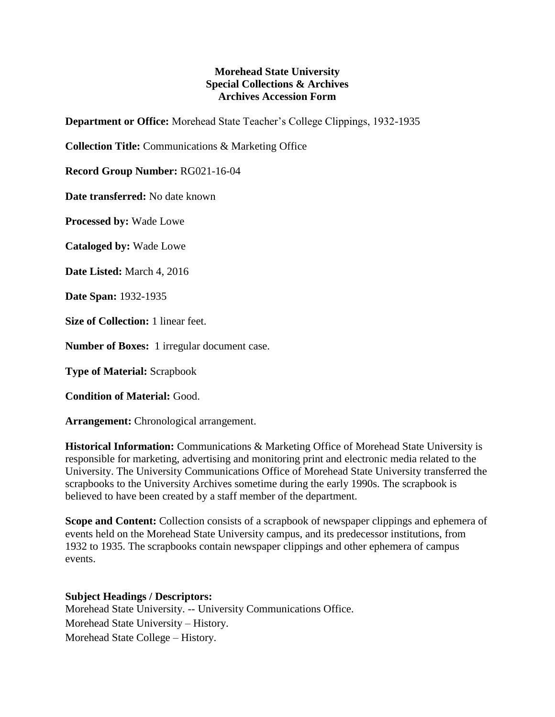## **Morehead State University Special Collections & Archives Archives Accession Form**

**Department or Office:** Morehead State Teacher's College Clippings, 1932-1935

**Collection Title:** Communications & Marketing Office

**Record Group Number:** RG021-16-04

**Date transferred:** No date known

**Processed by:** Wade Lowe

**Cataloged by:** Wade Lowe

**Date Listed:** March 4, 2016

**Date Span:** 1932-1935

**Size of Collection:** 1 linear feet.

**Number of Boxes:** 1 irregular document case.

**Type of Material:** Scrapbook

**Condition of Material:** Good.

**Arrangement:** Chronological arrangement.

**Historical Information:** Communications & Marketing Office of Morehead State University is responsible for marketing, advertising and monitoring print and electronic media related to the University. The University Communications Office of Morehead State University transferred the scrapbooks to the University Archives sometime during the early 1990s. The scrapbook is believed to have been created by a staff member of the department.

**Scope and Content:** Collection consists of a scrapbook of newspaper clippings and ephemera of events held on the Morehead State University campus, and its predecessor institutions, from 1932 to 1935. The scrapbooks contain newspaper clippings and other ephemera of campus events.

## **Subject Headings / Descriptors:**

Morehead State University. -- University Communications Office. Morehead State University – History. Morehead State College – History.